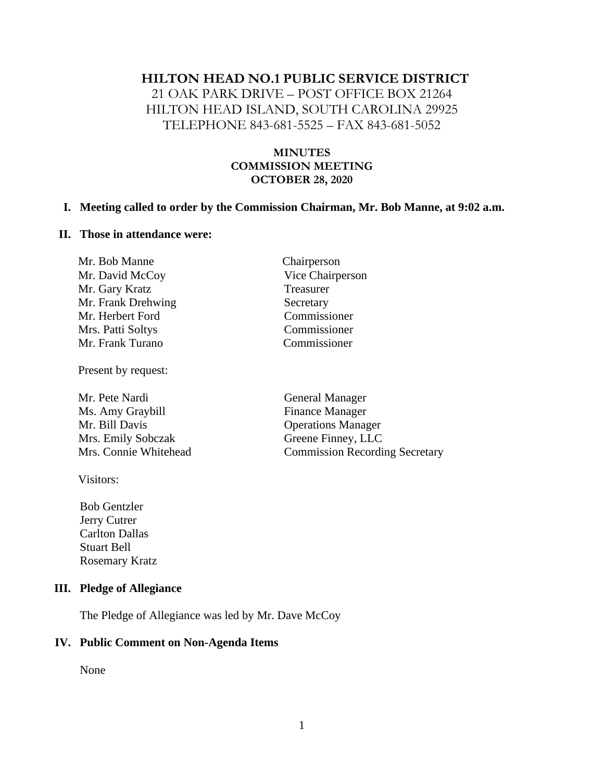#### **HILTON HEAD NO.1 PUBLIC SERVICE DISTRICT**

21 OAK PARK DRIVE – POST OFFICE BOX 21264 HILTON HEAD ISLAND, SOUTH CAROLINA 29925 TELEPHONE 843-681-5525 – FAX 843-681-5052

#### **MINUTES COMMISSION MEETING OCTOBER 28, 2020**

Chairperson Vice Chairperson

**Treasurer** Secretary Commissioner Commissioner Commissioner

#### **I. Meeting called to order by the Commission Chairman, Mr. Bob Manne, at 9:02 a.m.**

#### **II. Those in attendance were:**

| Mr. Bob Manne      |  |
|--------------------|--|
| Mr. David McCoy    |  |
| Mr. Gary Kratz     |  |
| Mr. Frank Drehwing |  |
| Mr. Herbert Ford   |  |
| Mrs. Patti Soltys  |  |
| Mr. Frank Turano   |  |

Present by request:

Mr. Pete Nardi General Manager Ms. Amy Graybill Finance Manager Mr. Bill Davis Operations Manager Mrs. Emily Sobczak Greene Finney, LLC

Visitors:

 Bob Gentzler Jerry Cutrer Carlton Dallas Stuart Bell Rosemary Kratz

#### **III. Pledge of Allegiance**

The Pledge of Allegiance was led by Mr. Dave McCoy

#### **IV. Public Comment on Non-Agenda Items**

None

Mrs. Connie Whitehead Commission Recording Secretary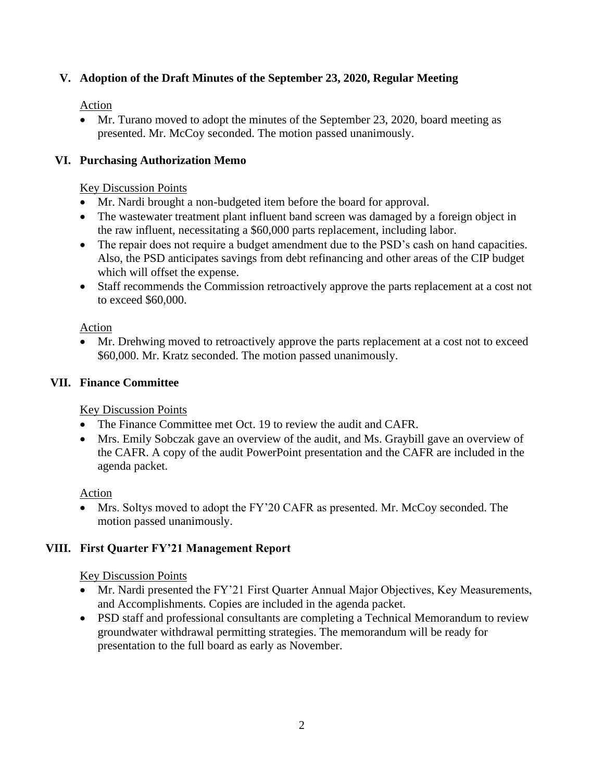# **V. Adoption of the Draft Minutes of the September 23, 2020, Regular Meeting**

#### Action

• Mr. Turano moved to adopt the minutes of the September 23, 2020, board meeting as presented. Mr. McCoy seconded. The motion passed unanimously.

## **VI. Purchasing Authorization Memo**

#### Key Discussion Points

- Mr. Nardi brought a non-budgeted item before the board for approval.
- The wastewater treatment plant influent band screen was damaged by a foreign object in the raw influent, necessitating a \$60,000 parts replacement, including labor.
- The repair does not require a budget amendment due to the PSD's cash on hand capacities. Also, the PSD anticipates savings from debt refinancing and other areas of the CIP budget which will offset the expense.
- Staff recommends the Commission retroactively approve the parts replacement at a cost not to exceed \$60,000.

#### Action

Mr. Drehwing moved to retroactively approve the parts replacement at a cost not to exceed \$60,000. Mr. Kratz seconded. The motion passed unanimously.

## **VII. Finance Committee**

## Key Discussion Points

- The Finance Committee met Oct. 19 to review the audit and CAFR.
- Mrs. Emily Sobczak gave an overview of the audit, and Ms. Graybill gave an overview of the CAFR. A copy of the audit PowerPoint presentation and the CAFR are included in the agenda packet.

## Action

Mrs. Soltys moved to adopt the FY'20 CAFR as presented. Mr. McCoy seconded. The motion passed unanimously.

## **VIII. First Quarter FY'21 Management Report**

## Key Discussion Points

- Mr. Nardi presented the FY'21 First Quarter Annual Major Objectives, Key Measurements, and Accomplishments. Copies are included in the agenda packet.
- PSD staff and professional consultants are completing a Technical Memorandum to review groundwater withdrawal permitting strategies. The memorandum will be ready for presentation to the full board as early as November.